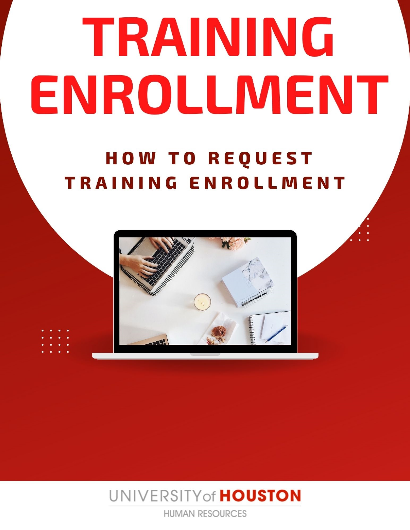# TRAINING ENROLLMENT

# **HOW TO REQUEST** TRAINING ENROLLMENT



UNIVERSITY of HOUSTON

**HUMAN RESOURCES**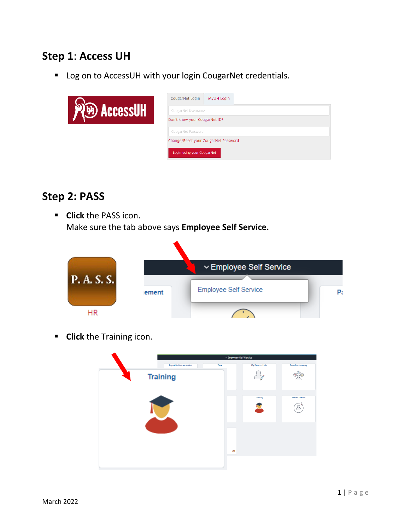# **Step 1**: **Access UH**

Log on to AccessUH with your login CougarNet credentials.

|     | CougarNet Login<br>MyUH Login         |
|-----|---------------------------------------|
| чит | CougarNet Username                    |
|     | Don't know your CougarNet ID?         |
|     | CougarNet Password                    |
|     | Change/Reset your CougarNet Password. |
|     | Login using your CougarNet            |

# **Step 2: PASS**

 **Click** the PASS icon. Make sure the tab above says **Employee Self Service.**

|                 |       | ▽ Employee Self Service      |    |
|-----------------|-------|------------------------------|----|
| <b>P.A.S.S.</b> | ement | <b>Employee Self Service</b> | Pa |
|                 |       |                              |    |

**Click** the Training icon.

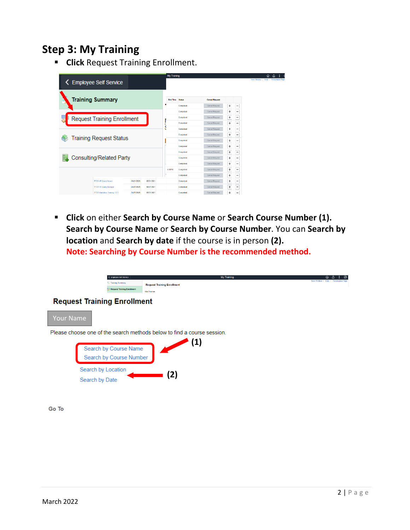# **Step 3: My Training**

**F** Click Request Training Enrollment.

| <b>Employee Self Service</b><br>◟  |            |            | <b>My Training</b> |               |                       |           |                          | ⋒ | New Window   Help   Personalizo Page |
|------------------------------------|------------|------------|--------------------|---------------|-----------------------|-----------|--------------------------|---|--------------------------------------|
| <b>Training Summary</b>            |            |            | <b>End Time</b>    | <b>Status</b> | <b>Cancel Request</b> |           |                          |   |                                      |
|                                    |            |            | ٠                  | Completed     | <b>Cancel Request</b> | +         | -                        |   |                                      |
|                                    |            |            |                    | Completed     | <b>Cancel Request</b> | ÷         | -                        |   |                                      |
| <b>Request Training Enrollment</b> |            |            |                    | Completed     | <b>Cancel Request</b> | ÷         | -                        |   |                                      |
|                                    |            |            |                    | Completed     | Cancel Request        | $\ddot{}$ | $\overline{\phantom{m}}$ |   |                                      |
|                                    |            |            | ٠                  | Completed     | <b>Cancel Request</b> | ÷         | $\overline{\phantom{0}}$ |   |                                      |
|                                    |            |            |                    | Completed     | <b>Cancel Request</b> | ÷         | $\overline{\phantom{a}}$ |   |                                      |
| <b>Training Request Status</b>     |            |            |                    | Completed     | Cancel Request        | ÷         | -                        |   |                                      |
|                                    |            |            |                    | Completed     | Cancel Request        | ÷         | $\overline{\phantom{m}}$ |   |                                      |
|                                    |            |            |                    | Completed     | Cancel Request        | ÷         | ٠                        |   |                                      |
| Consulting/Related Party           |            |            |                    | Completed     | Cancel Request        | ÷         | -                        |   |                                      |
|                                    |            |            |                    | Completed     | Cancel Request        | ÷         | $\overline{\phantom{m}}$ |   |                                      |
|                                    |            |            | 4 COPM             | Completed     | Cancel Request        | ÷         | $\overline{\phantom{a}}$ |   |                                      |
|                                    |            |            |                    | Completed     | Cancel Request        | ÷         |                          |   |                                      |
| FY21 HR Query Viewer               | 08/31/2021 | 08/31/2021 |                    | Completed     | Cancel Request        | ÷         | $\overline{\phantom{m}}$ |   |                                      |
| FY21 HR Query Manager              | 08/31/2021 | 08/31/2021 |                    | Completed     | Cancel Request        | ÷         | $\qquad \qquad$          |   |                                      |
| FY21 Mandatory Training: EEO       | 08/31/2021 | 08/31/2021 |                    | Completed     | Cancel Request        | ÷         | $\overline{\phantom{0}}$ |   |                                      |

 **Click** on either **Search by Course Name** or **Search Course Number (1). Search by Course Name** or **Search by Course Number**. You can **Search by location** and **Search by date** if the course is in person **(2). Note: Searching by Course Number is the recommended method.** 

|                  | Employee Sell Service<br>-> Training Summary<br><b>Request Training Enrollment</b> | My Training<br><b>Request Training Enrollment</b><br>Mia Thomas         | ⋒<br>New Window   Help   Personalize Page |
|------------------|------------------------------------------------------------------------------------|-------------------------------------------------------------------------|-------------------------------------------|
|                  | <b>Request Training Enrollment</b>                                                 |                                                                         |                                           |
| <b>Your Name</b> |                                                                                    |                                                                         |                                           |
|                  |                                                                                    | Please choose one of the search methods below to find a course session. |                                           |
|                  | Search by Course Name<br>Search by Course Number                                   | (1)                                                                     |                                           |
|                  | Search by Location                                                                 | (2)                                                                     |                                           |
|                  | Search by Date                                                                     |                                                                         |                                           |
| Go To            |                                                                                    |                                                                         |                                           |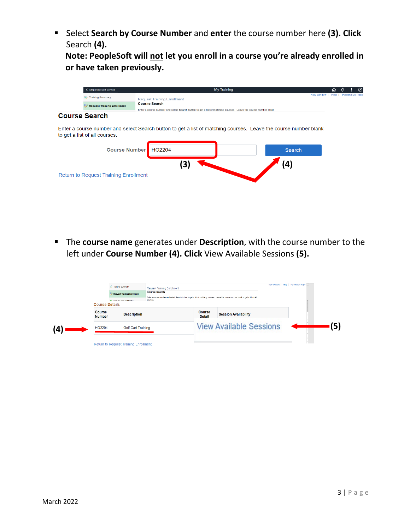Select **Search by Course Number** and **enter** the course number here **(3). Click**  Search **(4).**

**Note: PeopleSoft will not let you enroll in a course you're already enrolled in or have taken previously.**



#### **Course Search**

Enter a course number and select Search button to get a list of matching courses. Leave the course number blank to get a list of all courses.

| Course Number HO2204                         |    | <b>Search</b> |
|----------------------------------------------|----|---------------|
| <b>Return to Request Training Enrollment</b> | 31 | (4)           |

 The **course name** generates under **Description**, with the course number to the left under **Course Number (4). Click** View Available Sessions **(5).**

| C. Training Summary<br><b>Course Details</b> | <b>Request Training Enrollment</b><br>Company company and the company | <b>Request Training Enrollment</b><br><b>Course Search</b><br>Enter a course number and select Search button to get a list of matching courses. Leave the course number blank to get a list of all<br>COURSes. |                                |                                | New Window   Help   Personalize Page |  |
|----------------------------------------------|-----------------------------------------------------------------------|----------------------------------------------------------------------------------------------------------------------------------------------------------------------------------------------------------------|--------------------------------|--------------------------------|--------------------------------------|--|
| <b>Course</b><br><b>Number</b>               | <b>Description</b>                                                    |                                                                                                                                                                                                                | <b>Course</b><br><b>Detail</b> | <b>Session Availability</b>    |                                      |  |
| HO2204                                       | <b>Golf Cart Training</b>                                             |                                                                                                                                                                                                                |                                | <b>View Available Sessions</b> |                                      |  |
| <b>Return to Request Training Enrollment</b> |                                                                       |                                                                                                                                                                                                                |                                |                                |                                      |  |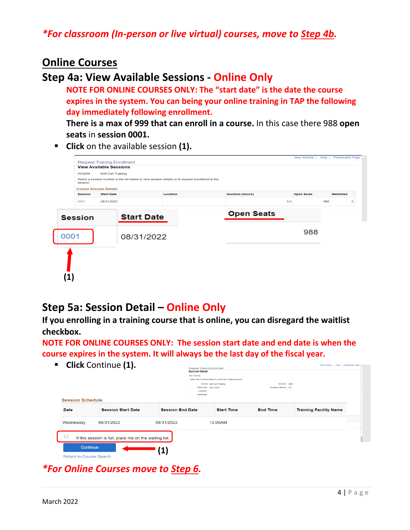#### *\*For classroom (In-person or live virtual) courses, move to Step 4b.*

#### **Online Courses**

#### **Step 4a: View Available Sessions - Online Only**

**NOTE FOR ONLINE COURSES ONLY: The "start date" is the date the course expires in the system. You can being your online training in TAP the following day immediately following enrollment.**

**There is a max of 999 that can enroll in a course.** In this case there 988 **open seats** in **session 0001.**

**Click** on the available session **(1).** 

|                |                                |                                                                                                   |          |                         |     | New Window        | Help | <b>Personalize Page</b> |             |
|----------------|--------------------------------|---------------------------------------------------------------------------------------------------|----------|-------------------------|-----|-------------------|------|-------------------------|-------------|
|                |                                | <b>Request Training Enrollment</b>                                                                |          |                         |     |                   |      |                         |             |
|                | <b>View Available Sessions</b> |                                                                                                   |          |                         |     |                   |      |                         |             |
| HO2204         | <b>Golf Cart Training</b>      |                                                                                                   |          |                         |     |                   |      |                         |             |
| session.       |                                | Select a session number in the list below to view session details or to request enrollment in the |          |                         |     |                   |      |                         |             |
|                | <b>Course Session Details</b>  |                                                                                                   |          |                         |     |                   |      |                         |             |
| <b>Session</b> | <b>Start Date</b>              |                                                                                                   | Location | <b>Duration (Hours)</b> |     | <b>Open Seats</b> |      | Waitlisted              |             |
| 0001           | 08/31/2022                     |                                                                                                   |          |                         | 0.0 |                   | 988  |                         | $\mathbf 0$ |
|                |                                |                                                                                                   |          | <b>Open Seats</b>       |     |                   |      |                         |             |
| <b>Session</b> |                                | <b>Start Date</b>                                                                                 |          |                         |     |                   |      |                         |             |
|                |                                |                                                                                                   |          |                         |     | 988               |      |                         |             |
| 0001           |                                | 08/31/2022                                                                                        |          |                         |     |                   |      |                         |             |
|                |                                |                                                                                                   |          |                         |     |                   |      |                         |             |
|                |                                |                                                                                                   |          |                         |     |                   |      |                         |             |
|                |                                |                                                                                                   |          |                         |     |                   |      |                         |             |
|                |                                |                                                                                                   |          |                         |     |                   |      |                         |             |
|                |                                |                                                                                                   |          |                         |     |                   |      |                         |             |
|                |                                |                                                                                                   |          |                         |     |                   |      |                         |             |

# **Step 5a: Session Detail – Online Only**

**If you enrolling in a training course that is online, you can disregard the waitlist checkbox.** 

**NOTE FOR ONLINE COURSES ONLY: The session start date and end date is when the course expires in the system. It will always be the last day of the fiscal year.**

**Click** Continue **(1).**

| <b>Session Schedule</b>                    |                                                        | <b>Session Detail</b><br>Mia Thomas | <b>Request Training Enforment</b><br>Select the Continue button to submit your training request.<br>Course Golf Cart Training<br>Start Date 08/31/2022<br>Location<br>Language | Session 0001<br>Duration (Hours) 0.0 |                               |
|--------------------------------------------|--------------------------------------------------------|-------------------------------------|--------------------------------------------------------------------------------------------------------------------------------------------------------------------------------|--------------------------------------|-------------------------------|
| <b>Date</b>                                | <b>Session Start Date</b>                              | <b>Session End Date</b>             | <b>Start Time</b>                                                                                                                                                              | <b>End Time</b>                      | <b>Training Facility Name</b> |
| Wednesday                                  | 08/31/2022                                             | 08/31/2022                          | 12:00AM                                                                                                                                                                        |                                      |                               |
|                                            | If this session is full, place me on the waiting list. |                                     |                                                                                                                                                                                |                                      |                               |
| Continue<br><b>Return to Course Search</b> |                                                        | $\mathbf{1}$                        |                                                                                                                                                                                |                                      |                               |

*\*For Online Courses move to Step 6.*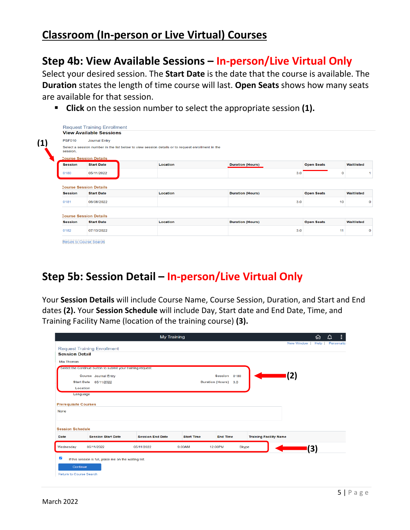# **Classroom (In-person or Live Virtual) Courses**

### **Step 4b: View Available Sessions – In-person/Live Virtual Only**

Select your desired session. The **Start Date** is the date that the course is available. The **Duration** states the length of time course will last. **Open Seats** shows how many seats are available for that session.

**Click** on the session number to select the appropriate session **(1).**

|                        | <b>View Available Sessions</b>  |                                                                                                   |                         |     |                         |            |
|------------------------|---------------------------------|---------------------------------------------------------------------------------------------------|-------------------------|-----|-------------------------|------------|
|                        |                                 |                                                                                                   |                         |     |                         |            |
| <b>PSF010</b>          | Journal Entry                   |                                                                                                   |                         |     |                         |            |
| session.               |                                 | Select a session number in the list below to view session details or to request enrollment in the |                         |     |                         |            |
|                        | <b>Course Session Details</b>   |                                                                                                   |                         |     |                         |            |
| <b>Session</b>         | <b>Start Date</b>               | Location                                                                                          | <b>Duration (Hours)</b> |     | <b>Open Seats</b>       | Waitlisted |
| 0180                   | 05/11/2022                      |                                                                                                   |                         | 3.0 | $\mathbf 0$             |            |
|                        | <b>Course Session Details</b>   |                                                                                                   |                         |     |                         |            |
|                        |                                 |                                                                                                   |                         |     |                         |            |
| <b>Session</b><br>0181 | <b>Start Date</b><br>06/08/2022 | Location                                                                                          | <b>Duration (Hours)</b> | 3.0 | <b>Open Seats</b><br>10 | Waitlisted |
|                        |                                 |                                                                                                   |                         |     |                         |            |
|                        | <b>Course Session Details</b>   |                                                                                                   |                         |     |                         |            |
| <b>Session</b>         | <b>Start Date</b>               | Location                                                                                          | <b>Duration (Hours)</b> |     | <b>Open Seats</b>       |            |
| 0182                   | 07/13/2022                      |                                                                                                   |                         | 3.0 | 11                      | Waitlisted |

# **Step 5b: Session Detail – In-person/Live Virtual Only**

Your **Session Details** will include Course Name, Course Session, Duration, and Start and End dates **(2).** Your **Session Schedule** will include Day, Start date and End Date, Time, and Training Facility Name (location of the training course) **(3).**

|                             |                                                             | My Training             |                   |                                |                               | △<br>屳                     | ÷ |
|-----------------------------|-------------------------------------------------------------|-------------------------|-------------------|--------------------------------|-------------------------------|----------------------------|---|
|                             | <b>Request Training Enrollment</b>                          |                         |                   |                                | New Window                    | Help<br><b>Personalize</b> |   |
| <b>Session Detail</b>       |                                                             |                         |                   |                                |                               |                            |   |
| Mia Thomas                  |                                                             |                         |                   |                                |                               |                            |   |
|                             | Select the Continue button to submit your training request. |                         |                   |                                |                               |                            |   |
|                             | <b>Course</b> Journal Entry                                 |                         |                   | <b>Session</b><br>0180         | (2)                           |                            |   |
| <b>Start Date</b>           | 05/11/2022                                                  |                         |                   | <b>Duration (Hours)</b><br>3.0 |                               |                            |   |
| Location                    |                                                             |                         |                   |                                |                               |                            |   |
| Language                    |                                                             |                         |                   |                                |                               |                            |   |
|                             |                                                             |                         |                   |                                |                               |                            |   |
| <b>Prerequisite Courses</b> |                                                             |                         |                   |                                |                               |                            |   |
| None                        |                                                             |                         |                   |                                |                               |                            |   |
|                             |                                                             |                         |                   |                                |                               |                            |   |
|                             |                                                             |                         |                   |                                |                               |                            |   |
| <b>Session Schedule</b>     |                                                             |                         |                   |                                |                               |                            |   |
| Date                        | <b>Session Start Date</b>                                   | <b>Session End Date</b> | <b>Start Time</b> | <b>End Time</b>                | <b>Training Facility Name</b> |                            |   |
| Wednesday                   | 05/11/2022                                                  | 05/11/2022              | 9:00AM            | 12:00PM<br><b>Skype</b>        |                               | 3)                         |   |
|                             |                                                             |                         |                   |                                |                               |                            |   |
| $\blacktriangleright$       | If this session is full, place me on the waiting list.      |                         |                   |                                |                               |                            |   |
| Continue                    |                                                             |                         |                   |                                |                               |                            |   |
|                             |                                                             |                         |                   |                                |                               |                            |   |
| Return to Course Search     |                                                             |                         |                   |                                |                               |                            |   |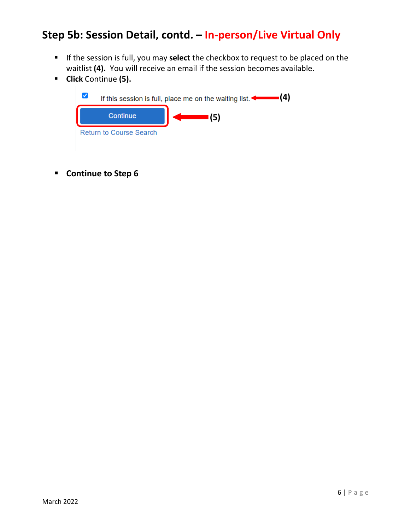# **Step 5b: Session Detail, contd. – In-person/Live Virtual Only**

- If the session is full, you may **select** the checkbox to request to be placed on the waitlist **(4).** You will receive an email if the session becomes available.
- **Click** Continue **(5).**



**E** Continue to Step 6